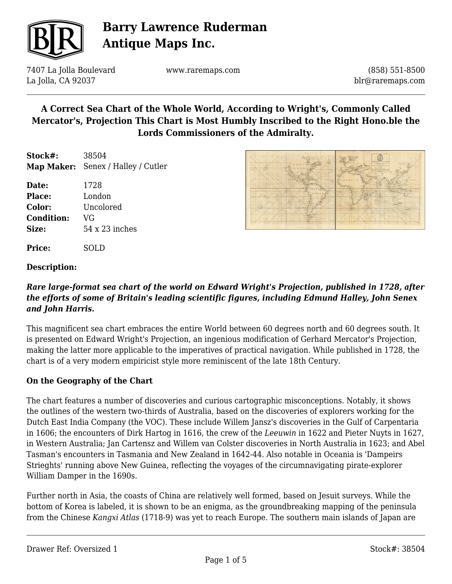

7407 La Jolla Boulevard La Jolla, CA 92037

www.raremaps.com

(858) 551-8500 blr@raremaps.com

# **A Correct Sea Chart of the Whole World, According to Wright's, Commonly Called Mercator's, Projection This Chart is Most Humbly Inscribed to the Right Hono.ble the Lords Commissioners of the Admiralty.**

**Stock#:** 38504 **Map Maker:** Senex / Halley / Cutler

**Date:** 1728 **Place:** London **Color:** Uncolored **Condition:** VG **Size:** 54 x 23 inches

**Price:** SOLD

#### **Description:**

### *Rare large-format sea chart of the world on Edward Wright's Projection, published in 1728, after the efforts of some of Britain's leading scientific figures, including Edmund Halley, John Senex and John Harris.*

This magnificent sea chart embraces the entire World between 60 degrees north and 60 degrees south. It is presented on Edward Wright's Projection, an ingenious modification of Gerhard Mercator's Projection, making the latter more applicable to the imperatives of practical navigation. While published in 1728, the chart is of a very modern empiricist style more reminiscent of the late 18th Century.

#### **On the Geography of the Chart**

The chart features a number of discoveries and curious cartographic misconceptions. Notably, it shows the outlines of the western two-thirds of Australia, based on the discoveries of explorers working for the Dutch East India Company (the VOC). These include Willem Jansz's discoveries in the Gulf of Carpentaria in 1606; the encounters of Dirk Hartog in 1616, the crew of the *Leeuwin* in 1622 and Pieter Nuyts in 1627, in Western Australia; Jan Cartensz and Willem van Colster discoveries in North Australia in 1623; and Abel Tasman's encounters in Tasmania and New Zealand in 1642-44. Also notable in Oceania is 'Dampeirs Strieghts' running above New Guinea, reflecting the voyages of the circumnavigating pirate-explorer William Damper in the 1690s.

Further north in Asia, the coasts of China are relatively well formed, based on Jesuit surveys. While the bottom of Korea is labeled, it is shown to be an enigma, as the groundbreaking mapping of the peninsula from the Chinese *Kangxi Atlas* (1718-9) was yet to reach Europe. The southern main islands of Japan are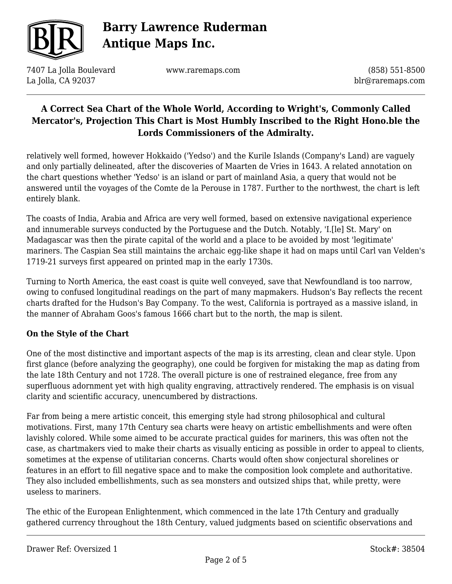

7407 La Jolla Boulevard La Jolla, CA 92037

www.raremaps.com

(858) 551-8500 blr@raremaps.com

## **A Correct Sea Chart of the Whole World, According to Wright's, Commonly Called Mercator's, Projection This Chart is Most Humbly Inscribed to the Right Hono.ble the Lords Commissioners of the Admiralty.**

relatively well formed, however Hokkaido ('Yedso') and the Kurile Islands (Company's Land) are vaguely and only partially delineated, after the discoveries of Maarten de Vries in 1643. A related annotation on the chart questions whether 'Yedso' is an island or part of mainland Asia, a query that would not be answered until the voyages of the Comte de la Perouse in 1787. Further to the northwest, the chart is left entirely blank.

The coasts of India, Arabia and Africa are very well formed, based on extensive navigational experience and innumerable surveys conducted by the Portuguese and the Dutch. Notably, 'I.[le] St. Mary' on Madagascar was then the pirate capital of the world and a place to be avoided by most 'legitimate' mariners. The Caspian Sea still maintains the archaic egg-like shape it had on maps until Carl van Velden's 1719-21 surveys first appeared on printed map in the early 1730s.

Turning to North America, the east coast is quite well conveyed, save that Newfoundland is too narrow, owing to confused longitudinal readings on the part of many mapmakers. Hudson's Bay reflects the recent charts drafted for the Hudson's Bay Company. To the west, California is portrayed as a massive island, in the manner of Abraham Goos's famous 1666 chart but to the north, the map is silent.

### **On the Style of the Chart**

One of the most distinctive and important aspects of the map is its arresting, clean and clear style. Upon first glance (before analyzing the geography), one could be forgiven for mistaking the map as dating from the late 18th Century and not 1728. The overall picture is one of restrained elegance, free from any superfluous adornment yet with high quality engraving, attractively rendered. The emphasis is on visual clarity and scientific accuracy, unencumbered by distractions.

Far from being a mere artistic conceit, this emerging style had strong philosophical and cultural motivations. First, many 17th Century sea charts were heavy on artistic embellishments and were often lavishly colored. While some aimed to be accurate practical guides for mariners, this was often not the case, as chartmakers vied to make their charts as visually enticing as possible in order to appeal to clients, sometimes at the expense of utilitarian concerns. Charts would often show conjectural shorelines or features in an effort to fill negative space and to make the composition look complete and authoritative. They also included embellishments, such as sea monsters and outsized ships that, while pretty, were useless to mariners.

The ethic of the European Enlightenment, which commenced in the late 17th Century and gradually gathered currency throughout the 18th Century, valued judgments based on scientific observations and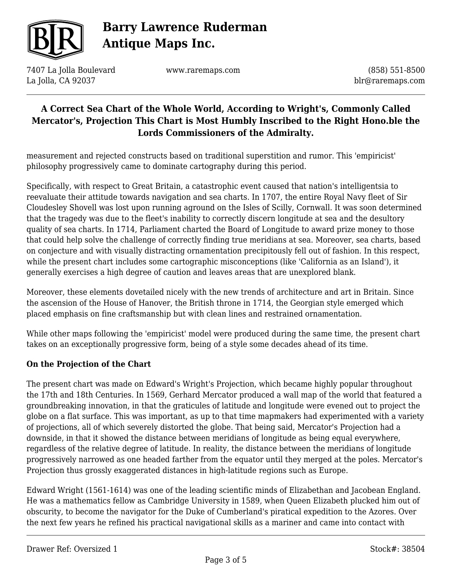

7407 La Jolla Boulevard La Jolla, CA 92037

www.raremaps.com

(858) 551-8500 blr@raremaps.com

## **A Correct Sea Chart of the Whole World, According to Wright's, Commonly Called Mercator's, Projection This Chart is Most Humbly Inscribed to the Right Hono.ble the Lords Commissioners of the Admiralty.**

measurement and rejected constructs based on traditional superstition and rumor. This 'empiricist' philosophy progressively came to dominate cartography during this period.

Specifically, with respect to Great Britain, a catastrophic event caused that nation's intelligentsia to reevaluate their attitude towards navigation and sea charts. In 1707, the entire Royal Navy fleet of Sir Cloudesley Shovell was lost upon running aground on the Isles of Scilly, Cornwall. It was soon determined that the tragedy was due to the fleet's inability to correctly discern longitude at sea and the desultory quality of sea charts. In 1714, Parliament charted the Board of Longitude to award prize money to those that could help solve the challenge of correctly finding true meridians at sea. Moreover, sea charts, based on conjecture and with visually distracting ornamentation precipitously fell out of fashion. In this respect, while the present chart includes some cartographic misconceptions (like 'California as an Island'), it generally exercises a high degree of caution and leaves areas that are unexplored blank.

Moreover, these elements dovetailed nicely with the new trends of architecture and art in Britain. Since the ascension of the House of Hanover, the British throne in 1714, the Georgian style emerged which placed emphasis on fine craftsmanship but with clean lines and restrained ornamentation.

While other maps following the 'empiricist' model were produced during the same time, the present chart takes on an exceptionally progressive form, being of a style some decades ahead of its time.

### **On the Projection of the Chart**

The present chart was made on Edward's Wright's Projection, which became highly popular throughout the 17th and 18th Centuries. In 1569, Gerhard Mercator produced a wall map of the world that featured a groundbreaking innovation, in that the graticules of latitude and longitude were evened out to project the globe on a flat surface. This was important, as up to that time mapmakers had experimented with a variety of projections, all of which severely distorted the globe. That being said, Mercator's Projection had a downside, in that it showed the distance between meridians of longitude as being equal everywhere, regardless of the relative degree of latitude. In reality, the distance between the meridians of longitude progressively narrowed as one headed farther from the equator until they merged at the poles. Mercator's Projection thus grossly exaggerated distances in high-latitude regions such as Europe.

Edward Wright (1561-1614) was one of the leading scientific minds of Elizabethan and Jacobean England. He was a mathematics fellow as Cambridge University in 1589, when Queen Elizabeth plucked him out of obscurity, to become the navigator for the Duke of Cumberland's piratical expedition to the Azores. Over the next few years he refined his practical navigational skills as a mariner and came into contact with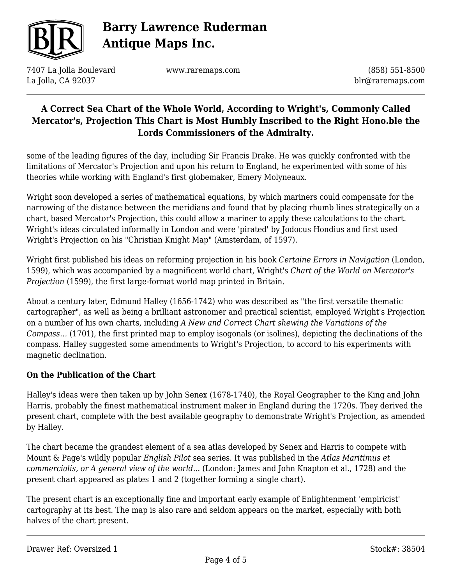

7407 La Jolla Boulevard La Jolla, CA 92037

www.raremaps.com

(858) 551-8500 blr@raremaps.com

## **A Correct Sea Chart of the Whole World, According to Wright's, Commonly Called Mercator's, Projection This Chart is Most Humbly Inscribed to the Right Hono.ble the Lords Commissioners of the Admiralty.**

some of the leading figures of the day, including Sir Francis Drake. He was quickly confronted with the limitations of Mercator's Projection and upon his return to England, he experimented with some of his theories while working with England's first globemaker, Emery Molyneaux.

Wright soon developed a series of mathematical equations, by which mariners could compensate for the narrowing of the distance between the meridians and found that by placing rhumb lines strategically on a chart, based Mercator's Projection, this could allow a mariner to apply these calculations to the chart. Wright's ideas circulated informally in London and were 'pirated' by Jodocus Hondius and first used Wright's Projection on his "Christian Knight Map" (Amsterdam, of 1597).

Wright first published his ideas on reforming projection in his book *Certaine Errors in Navigation* (London, 1599), which was accompanied by a magnificent world chart, Wright's *Chart of the World on Mercator's Projection* (1599), the first large-format world map printed in Britain.

About a century later, Edmund Halley (1656-1742) who was described as "the first versatile thematic cartographer", as well as being a brilliant astronomer and practical scientist, employed Wright's Projection on a number of his own charts, including *A New and Correct Chart shewing the Variations of the Compass…* (1701), the first printed map to employ isogonals (or isolines), depicting the declinations of the compass. Halley suggested some amendments to Wright's Projection, to accord to his experiments with magnetic declination.

### **On the Publication of the Chart**

Halley's ideas were then taken up by John Senex (1678-1740), the Royal Geographer to the King and John Harris, probably the finest mathematical instrument maker in England during the 1720s. They derived the present chart, complete with the best available geography to demonstrate Wright's Projection, as amended by Halley.

The chart became the grandest element of a sea atlas developed by Senex and Harris to compete with Mount & Page's wildly popular *English Pilot* sea series. It was published in the *Atlas Maritimus et commercialis, or A general view of the world*... (London: James and John Knapton et al., 1728) and the present chart appeared as plates 1 and 2 (together forming a single chart).

The present chart is an exceptionally fine and important early example of Enlightenment 'empiricist' cartography at its best. The map is also rare and seldom appears on the market, especially with both halves of the chart present.